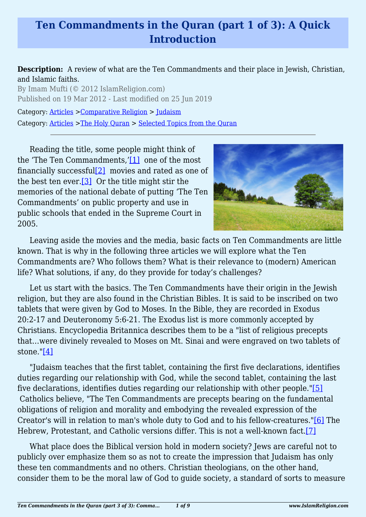# **Ten Commandments in the Quran (part 1 of 3): A Quick Introduction**

**Description:** A review of what are the Ten Commandments and their place in Jewish, Christian, and Islamic faiths.

By Imam Mufti (© 2012 IslamReligion.com) Published on 19 Mar 2012 - Last modified on 25 Jun 2019

Category: [Articles](http://www.islamreligion.com/articles/) >[Comparative Religion](http://www.islamreligion.com/category/68/) > [Judaism](http://www.islamreligion.com/category/72/) Category: [Articles](http://www.islamreligion.com/articles/) >[The Holy Quran](http://www.islamreligion.com/category/75/) > [Selected Topics from the Quran](http://www.islamreligion.com/category/76/)

<span id="page-0-2"></span><span id="page-0-1"></span><span id="page-0-0"></span>Reading the title, some people might think of the 'The Ten Commandments,'[\[1\]](#page-1-0) one of the most financially successful[\[2\]](#page-1-1) movies and rated as one of the best ten ever.  $[3]$  Or the title might stir the memories of the national debate of putting 'The Ten Commandments' on public property and use in public schools that ended in the Supreme Court in 2005.



Leaving aside the movies and the media, basic facts on Ten Commandments are little known. That is why in the following three articles we will explore what the Ten Commandments are? Who follows them? What is their relevance to (modern) American life? What solutions, if any, do they provide for today's challenges?

Let us start with the basics. The Ten Commandments have their origin in the Jewish religion, but they are also found in the Christian Bibles. It is said to be inscribed on two tablets that were given by God to Moses. In the Bible, they are recorded in Exodus 20:2-17 and Deuteronomy 5:6-21. The Exodus list is more commonly accepted by Christians. Encyclopedia Britannica describes them to be a "list of religious precepts that…were divinely revealed to Moses on Mt. Sinai and were engraved on two tablets of stone."[\[4\]](#page-1-3)

<span id="page-0-4"></span><span id="page-0-3"></span>"Judaism teaches that the first tablet, containing the first five declarations, identifies duties regarding our relationship with God, while the second tablet, containing the last five declarations, identifies duties regarding our relationship with other people.["\[5\]](#page-2-0) Catholics believe, "The Ten Commandments are precepts bearing on the fundamental obligations of religion and morality and embodying the revealed expression of the Creator's will in relation to man's whole duty to God and to his fellow-creatures."[\[6\]](#page-2-1) The Hebrew, Protestant, and Catholic versions differ. This is not a well-known fact[.\[7\]](#page-2-2)

<span id="page-0-6"></span><span id="page-0-5"></span>What place does the Biblical version hold in modern society? Jews are careful not to publicly over emphasize them so as not to create the impression that Judaism has only these ten commandments and no others. Christian theologians, on the other hand, consider them to be the moral law of God to guide society, a standard of sorts to measure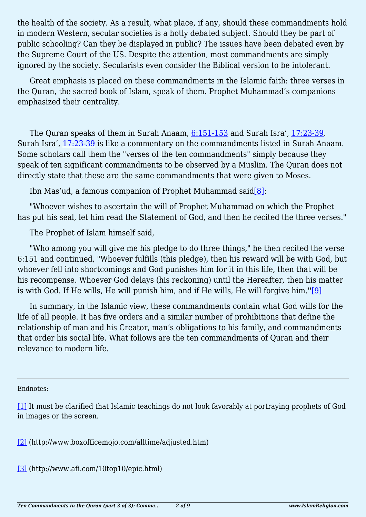the health of the society. As a result, what place, if any, should these commandments hold in modern Western, secular societies is a hotly debated subject. Should they be part of public schooling? Can they be displayed in public? The issues have been debated even by the Supreme Court of the US. Despite the attention, most commandments are simply ignored by the society. Secularists even consider the Biblical version to be intolerant.

Great emphasis is placed on these commandments in the Islamic faith: three verses in the Quran, the sacred book of Islam, speak of them. Prophet Muhammad's companions emphasized their centrality.

The Quran speaks of them in Surah Anaam,  $6:151-153$  and Surah Isra', [17:23-39.](http://quran.com/17/23-39) Surah Isra', [17:23-39](http://quran.com/17/23-39) is like a commentary on the commandments listed in Surah Anaam. Some scholars call them the "verses of the ten commandments" simply because they speak of ten significant commandments to be observed by a Muslim. The Quran does not directly state that these are the same commandments that were given to Moses.

Ibn Mas'ud, a famous companion of Prophet Muhammad said  $[8]$ :

<span id="page-1-4"></span>"Whoever wishes to ascertain the will of Prophet Muhammad on which the Prophet has put his seal, let him read the Statement of God, and then he recited the three verses."

The Prophet of Islam himself said,

"Who among you will give me his pledge to do three things," he then recited the verse 6:151 and continued, "Whoever fulfills (this pledge), then his reward will be with God, but whoever fell into shortcomings and God punishes him for it in this life, then that will be his recompense. Whoever God delays (his reckoning) until the Hereafter, then his matter is with God. If He wills, He will punish him, and if He wills, He will forgive him." $[9]$ 

<span id="page-1-5"></span>In summary, in the Islamic view, these commandments contain what God wills for the life of all people. It has five orders and a similar number of prohibitions that define the relationship of man and his Creator, man's obligations to his family, and commandments that order his social life. What follows are the ten commandments of Quran and their relevance to modern life.

<span id="page-1-0"></span>Endnotes:

[\[1\]](#page-0-0) It must be clarified that Islamic teachings do not look favorably at portraying prophets of God in images or the screen.

<span id="page-1-1"></span>[\[2\]](#page-0-1) (http://www.boxofficemojo.com/alltime/adjusted.htm)

<span id="page-1-3"></span><span id="page-1-2"></span>[\[3\]](#page-0-2) (http://www.afi.com/10top10/epic.html)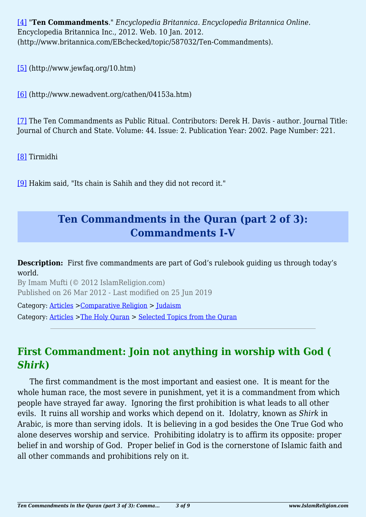[\[4\]](#page-0-3) "**Ten Commandments**." *Encyclopedia Britannica. Encyclopedia Britannica Online*. Encyclopedia Britannica Inc., 2012. Web. 10 Jan. 2012. (http://www.britannica.com/EBchecked/topic/587032/Ten-Commandments).

<span id="page-2-0"></span>[\[5\]](#page-0-4) (http://www.jewfaq.org/10.htm)

<span id="page-2-1"></span>[\[6\]](#page-0-5) (http://www.newadvent.org/cathen/04153a.htm)

<span id="page-2-2"></span>[\[7\]](#page-0-6) The Ten Commandments as Public Ritual. Contributors: Derek H. Davis - author. Journal Title: Journal of Church and State. Volume: 44. Issue: 2. Publication Year: 2002. Page Number: 221.

<span id="page-2-3"></span>[\[8\]](#page-1-4) Tirmidhi

<span id="page-2-4"></span>[\[9\]](#page-1-5) Hakim said, "Its chain is Sahih and they did not record it."

## **Ten Commandments in the Quran (part 2 of 3): Commandments I-V**

**Description:** First five commandments are part of God's rulebook guiding us through today's world.

By Imam Mufti (© 2012 IslamReligion.com) Published on 26 Mar 2012 - Last modified on 25 Jun 2019

Category: [Articles](http://www.islamreligion.com/articles/) >[Comparative Religion](http://www.islamreligion.com/category/68/) > [Judaism](http://www.islamreligion.com/category/72/) Category: [Articles](http://www.islamreligion.com/articles/) >[The Holy Quran](http://www.islamreligion.com/category/75/) > [Selected Topics from the Quran](http://www.islamreligion.com/category/76/)

## **First Commandment: Join not anything in worship with God (** *Shirk***)**

The first commandment is the most important and easiest one. It is meant for the whole human race, the most severe in punishment, yet it is a commandment from which people have strayed far away. Ignoring the first prohibition is what leads to all other evils. It ruins all worship and works which depend on it. Idolatry, known as *Shirk* in Arabic, is more than serving idols. It is believing in a god besides the One True God who alone deserves worship and service. Prohibiting idolatry is to affirm its opposite: proper belief in and worship of God. Proper belief in God is the cornerstone of Islamic faith and all other commands and prohibitions rely on it.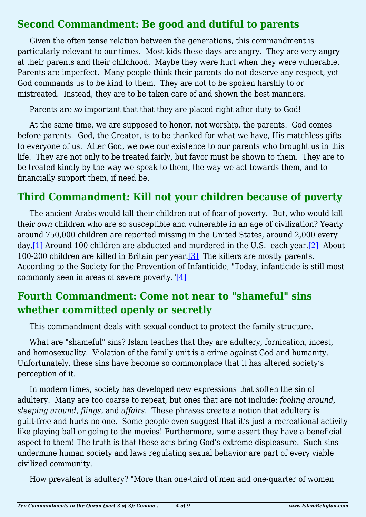#### **Second Commandment: Be good and dutiful to parents**

Given the often tense relation between the generations, this commandment is particularly relevant to our times. Most kids these days are angry. They are very angry at their parents and their childhood. Maybe they were hurt when they were vulnerable. Parents are imperfect. Many people think their parents do not deserve any respect, yet God commands us to be kind to them. They are not to be spoken harshly to or mistreated. Instead, they are to be taken care of and shown the best manners.

Parents are *so* important that that they are placed right after duty to God!

At the same time, we are supposed to honor, not worship, the parents. God comes before parents. God, the Creator, is to be thanked for what we have, His matchless gifts to everyone of us. After God, we owe our existence to our parents who brought us in this life. They are not only to be treated fairly, but favor must be shown to them. They are to be treated kindly by the way we speak to them, the way we act towards them, and to financially support them, if need be.

## **Third Commandment: Kill not your children because of poverty**

<span id="page-3-0"></span>The ancient Arabs would kill their children out of fear of poverty. But, who would kill their *own* children who are so susceptible and vulnerable in an age of civilization? Yearly around 750,000 children are reported missing in the United States, around 2,000 every day[.\[1\]](#page-4-0) Around 100 children are abducted and murdered in the U.S. each year.[\[2\]](#page-4-1) About 100-200 children are killed in Britain per year[.\[3\]](#page-5-0) The killers are mostly parents. According to the Society for the Prevention of Infanticide, "Today, infanticide is still most commonly seen in areas of severe poverty." $[4]$ 

## <span id="page-3-2"></span><span id="page-3-1"></span>**Fourth Commandment: Come not near to "shameful" sins whether committed openly or secretly**

This commandment deals with sexual conduct to protect the family structure.

What are "shameful" sins? Islam teaches that they are adultery, fornication, incest, and homosexuality. Violation of the family unit is a crime against God and humanity. Unfortunately, these sins have become so commonplace that it has altered society's perception of it.

In modern times, society has developed new expressions that soften the sin of adultery. Many are too coarse to repeat, but ones that are not include: *fooling around, sleeping around, flings,* and *affairs*. These phrases create a notion that adultery is guilt-free and hurts no one. Some people even suggest that it's just a recreational activity like playing ball or going to the movies! Furthermore, some assert they have a beneficial aspect to them! The truth is that these acts bring God's extreme displeasure. Such sins undermine human society and laws regulating sexual behavior are part of every viable civilized community.

<span id="page-3-3"></span>How prevalent is adultery? "More than one-third of men and one-quarter of women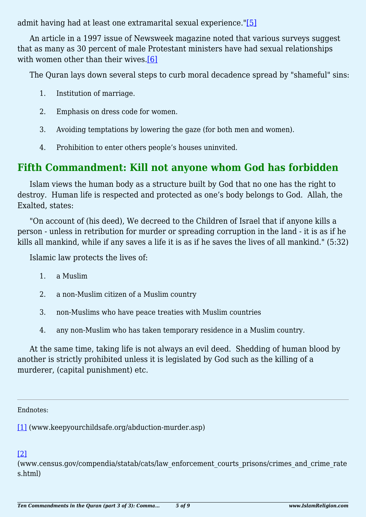admit having had at least one extramarital sexual experience.["\[5\]](#page-5-2)

<span id="page-4-2"></span>An article in a 1997 issue of Newsweek magazine noted that various surveys suggest that as many as 30 percent of male Protestant ministers have had sexual relationships with women other than their wives.<sup>[\[6\]](#page-5-3)</sup>

The Quran lays down several steps to curb moral decadence spread by "shameful" sins:

- 1. Institution of marriage.
- 2. Emphasis on dress code for women.
- 3. Avoiding temptations by lowering the gaze (for both men and women).
- 4. Prohibition to enter others people's houses uninvited.

#### **Fifth Commandment: Kill not anyone whom God has forbidden**

Islam views the human body as a structure built by God that no one has the right to destroy. Human life is respected and protected as one's body belongs to God. Allah, the Exalted, states:

"On account of (his deed), We decreed to the Children of Israel that if anyone kills a person - unless in retribution for murder or spreading corruption in the land - it is as if he kills all mankind, while if any saves a life it is as if he saves the lives of all mankind." (5:32)

Islamic law protects the lives of:

- 1. a Muslim
- 2. a non-Muslim citizen of a Muslim country
- 3. non-Muslims who have peace treaties with Muslim countries
- 4. any non-Muslim who has taken temporary residence in a Muslim country.

At the same time, taking life is not always an evil deed. Shedding of human blood by another is strictly prohibited unless it is legislated by God such as the killing of a murderer, (capital punishment) etc.

Endnotes:

<span id="page-4-0"></span>[\[1\]](#page-3-0) (www.keepyourchildsafe.org/abduction-murder.asp)

<span id="page-4-1"></span>[\[2\]](#page-3-0)

(www.census.gov/compendia/statab/cats/law\_enforcement\_courts\_prisons/crimes\_and\_crime\_rate s.html)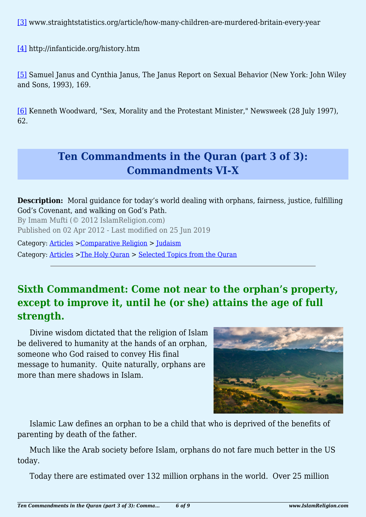<span id="page-5-0"></span>[\[3\]](#page-3-1) www.straightstatistics.org/article/how-many-children-are-murdered-britain-every-year

<span id="page-5-1"></span>[\[4\]](#page-3-2) http://infanticide.org/history.htm

<span id="page-5-2"></span>[\[5\]](#page-3-3) Samuel Janus and Cynthia Janus, The Janus Report on Sexual Behavior (New York: John Wiley and Sons, 1993), 169.

<span id="page-5-3"></span>[\[6\]](#page-4-2) Kenneth Woodward, "Sex, Morality and the Protestant Minister," Newsweek (28 July 1997), 62.

## **Ten Commandments in the Quran (part 3 of 3): Commandments VI-X**

**Description:** Moral guidance for today's world dealing with orphans, fairness, justice, fulfilling God's Covenant, and walking on God's Path.

By Imam Mufti (© 2012 IslamReligion.com) Published on 02 Apr 2012 - Last modified on 25 Jun 2019

Category: [Articles](http://www.islamreligion.com/articles/) >[Comparative Religion](http://www.islamreligion.com/category/68/) > [Judaism](http://www.islamreligion.com/category/72/) Category: [Articles](http://www.islamreligion.com/articles/) >[The Holy Quran](http://www.islamreligion.com/category/75/) > [Selected Topics from the Quran](http://www.islamreligion.com/category/76/)

## **Sixth Commandment: Come not near to the orphan's property, except to improve it, until he (or she) attains the age of full strength.**

Divine wisdom dictated that the religion of Islam be delivered to humanity at the hands of an orphan, someone who God raised to convey His final message to humanity. Quite naturally, orphans are more than mere shadows in Islam.



Islamic Law defines an orphan to be a child that who is deprived of the benefits of parenting by death of the father.

Much like the Arab society before Islam, orphans do not fare much better in the US today.

<span id="page-5-4"></span>Today there are estimated over 132 million orphans in the world. Over 25 million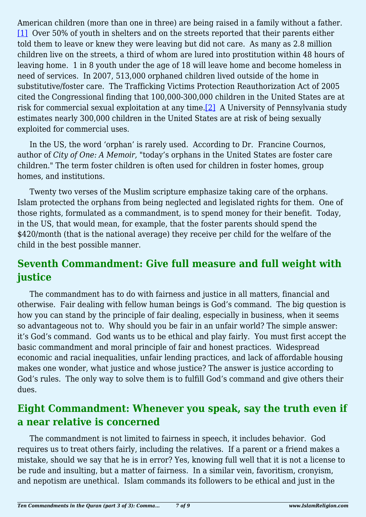American children (more than one in three) are being raised in a family without a father. [\[1\]](#page-7-0) Over 50% of youth in shelters and on the streets reported that their parents either told them to leave or knew they were leaving but did not care. As many as 2.8 million children live on the streets, a third of whom are lured into prostitution within 48 hours of leaving home. 1 in 8 youth under the age of 18 will leave home and become homeless in need of services. In 2007, 513,000 orphaned children lived outside of the home in substitutive/foster care. The Trafficking Victims Protection Reauthorization Act of 2005 cited the Congressional finding that 100,000-300,000 children in the United States are at risk for commercial sexual exploitation at any time.[\[2\]](#page-8-0) A University of Pennsylvania study estimates nearly 300,000 children in the United States are at risk of being sexually exploited for commercial uses.

<span id="page-6-0"></span>In the US, the word 'orphan' is rarely used. According to Dr. Francine Cournos, author of *City of One: A Memoir,* "today's orphans in the United States are foster care children." The term foster children is often used for children in foster homes, group homes, and institutions.

Twenty two verses of the Muslim scripture emphasize taking care of the orphans. Islam protected the orphans from being neglected and legislated rights for them. One of those rights, formulated as a commandment, is to spend money for their benefit. Today, in the US, that would mean, for example, that the foster parents should spend the \$420/month (that is the national average) they receive per child for the welfare of the child in the best possible manner.

### **Seventh Commandment: Give full measure and full weight with justice**

The commandment has to do with fairness and justice in all matters, financial and otherwise. Fair dealing with fellow human beings is God's command. The big question is how you can stand by the principle of fair dealing, especially in business, when it seems so advantageous not to. Why should you be fair in an unfair world? The simple answer: it's God's command. God wants us to be ethical and play fairly. You must first accept the basic commandment and moral principle of fair and honest practices. Widespread economic and racial inequalities, unfair lending practices, and lack of affordable housing makes one wonder, what justice and whose justice? The answer is justice according to God's rules. The only way to solve them is to fulfill God's command and give others their dues.

### **Eight Commandment: Whenever you speak, say the truth even if a near relative is concerned**

The commandment is not limited to fairness in speech, it includes behavior. God requires us to treat others fairly, including the relatives. If a parent or a friend makes a mistake, should we say that he is in error? Yes, knowing full well that it is not a license to be rude and insulting, but a matter of fairness. In a similar vein, favoritism, cronyism, and nepotism are unethical. Islam commands its followers to be ethical and just in the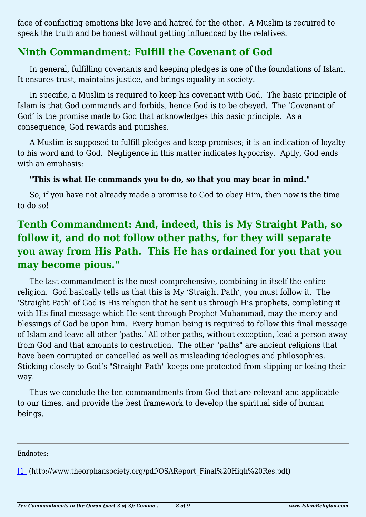face of conflicting emotions like love and hatred for the other. A Muslim is required to speak the truth and be honest without getting influenced by the relatives.

#### **Ninth Commandment: Fulfill the Covenant of God**

In general, fulfilling covenants and keeping pledges is one of the foundations of Islam. It ensures trust, maintains justice, and brings equality in society.

In specific, a Muslim is required to keep his covenant with God. The basic principle of Islam is that God commands and forbids, hence God is to be obeyed. The 'Covenant of God' is the promise made to God that acknowledges this basic principle. As a consequence, God rewards and punishes.

A Muslim is supposed to fulfill pledges and keep promises; it is an indication of loyalty to his word and to God. Negligence in this matter indicates hypocrisy. Aptly, God ends with an emphasis:

#### **"This is what He commands you to do, so that you may bear in mind."**

So, if you have not already made a promise to God to obey Him, then now is the time to do so!

## **Tenth Commandment: And, indeed, this is My Straight Path, so follow it, and do not follow other paths, for they will separate you away from His Path. This He has ordained for you that you may become pious."**

The last commandment is the most comprehensive, combining in itself the entire religion. God basically tells us that this is My 'Straight Path', you must follow it. The 'Straight Path' of God is His religion that he sent us through His prophets, completing it with His final message which He sent through Prophet Muhammad, may the mercy and blessings of God be upon him. Every human being is required to follow this final message of Islam and leave all other 'paths.' All other paths, without exception, lead a person away from God and that amounts to destruction. The other "paths" are ancient religions that have been corrupted or cancelled as well as misleading ideologies and philosophies. Sticking closely to God's "Straight Path" keeps one protected from slipping or losing their way.

Thus we conclude the ten commandments from God that are relevant and applicable to our times, and provide the best framework to develop the spiritual side of human beings.

#### Endnotes:

<span id="page-7-0"></span>[\[1\]](#page-5-4) (http://www.theorphansociety.org/pdf/OSAReport\_Final%20High%20Res.pdf)